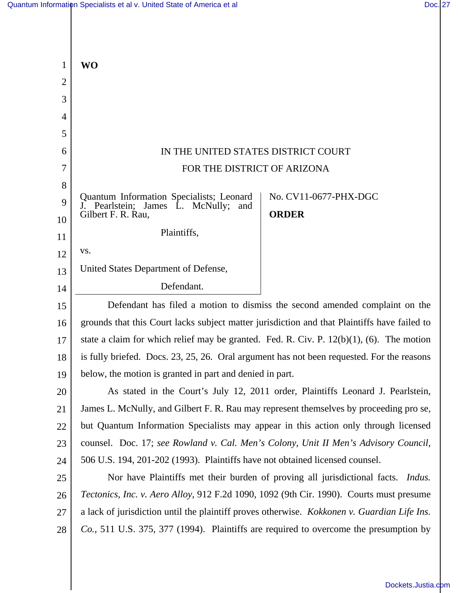| $\mathbf{1}$   | <b>WO</b>                                                                                                    |                       |
|----------------|--------------------------------------------------------------------------------------------------------------|-----------------------|
| $\overline{2}$ |                                                                                                              |                       |
| 3              |                                                                                                              |                       |
| 4<br>5         |                                                                                                              |                       |
| 6              | IN THE UNITED STATES DISTRICT COURT                                                                          |                       |
|                |                                                                                                              |                       |
| 7              | FOR THE DISTRICT OF ARIZONA                                                                                  |                       |
| 8<br>9         | Quantum Information Specialists; Leonard<br>J. Pearlstein;<br>James L. McNully;<br>and<br>Gilbert F. R. Rau, | No. CV11-0677-PHX-DGC |
| 10             |                                                                                                              | <b>ORDER</b>          |
| 11             | Plaintiffs,                                                                                                  |                       |
| 12             | VS.                                                                                                          |                       |
| 13             | United States Department of Defense,                                                                         |                       |
| 14             | Defendant.                                                                                                   |                       |
| 15             | Defendant has filed a motion to dismiss the second amended complaint on the                                  |                       |
| 16             | grounds that this Court lacks subject matter jurisdiction and that Plaintiffs have failed to                 |                       |
| 17             | state a claim for which relief may be granted. Fed. R. Civ. P. $12(b)(1)$ , (6). The motion                  |                       |
| 18             | is fully briefed. Docs. 23, 25, 26. Oral argument has not been requested. For the reasons                    |                       |
| 19             | below, the motion is granted in part and denied in part.                                                     |                       |
| 20             | As stated in the Court's July 12, 2011 order, Plaintiffs Leonard J. Pearlstein,                              |                       |
| 21             | James L. McNully, and Gilbert F. R. Rau may represent themselves by proceeding pro se,                       |                       |
| 22             | but Quantum Information Specialists may appear in this action only through licensed                          |                       |
| 23             | counsel. Doc. 17; see Rowland v. Cal. Men's Colony, Unit II Men's Advisory Council,                          |                       |
| 24             | 506 U.S. 194, 201-202 (1993). Plaintiffs have not obtained licensed counsel.                                 |                       |
| 25             | Nor have Plaintiffs met their burden of proving all jurisdictional facts. Indus.                             |                       |
| 26             | Tectonics, Inc. v. Aero Alloy, 912 F.2d 1090, 1092 (9th Cir. 1990). Courts must presume                      |                       |
| 27             | a lack of jurisdiction until the plaintiff proves otherwise. <i>Kokkonen v. Guardian Life Ins.</i>           |                       |
| 28             | Co., 511 U.S. 375, 377 (1994). Plaintiffs are required to overcome the presumption by                        |                       |
|                |                                                                                                              |                       |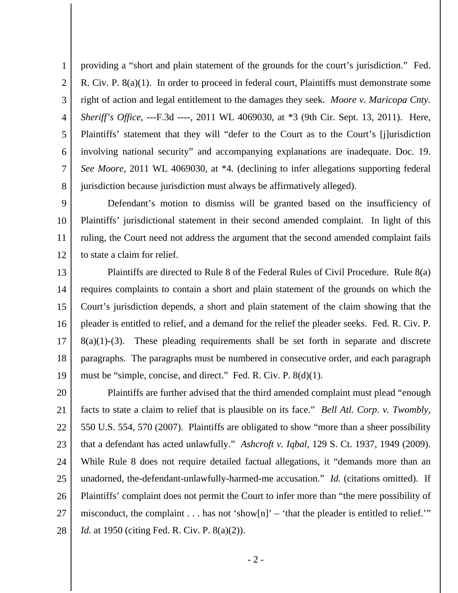1 2 3 4 5 6 7 8 providing a "short and plain statement of the grounds for the court's jurisdiction." Fed. R. Civ. P. 8(a)(1). In order to proceed in federal court, Plaintiffs must demonstrate some right of action and legal entitlement to the damages they seek. *Moore v. Maricopa Cnty. Sheriff's Office*, ---F.3d ----, 2011 WL 4069030, at \*3 (9th Cir. Sept. 13, 2011). Here, Plaintiffs' statement that they will "defer to the Court as to the Court's [j]urisdiction involving national security" and accompanying explanations are inadequate. Doc. 19. *See Moore*, 2011 WL 4069030, at \*4*.* (declining to infer allegations supporting federal jurisdiction because jurisdiction must always be affirmatively alleged).

9 10 11 12 Defendant's motion to dismiss will be granted based on the insufficiency of Plaintiffs' jurisdictional statement in their second amended complaint. In light of this ruling, the Court need not address the argument that the second amended complaint fails to state a claim for relief.

13 14 15 16 17 18 19 Plaintiffs are directed to Rule 8 of the Federal Rules of Civil Procedure. Rule 8(a) requires complaints to contain a short and plain statement of the grounds on which the Court's jurisdiction depends, a short and plain statement of the claim showing that the pleader is entitled to relief, and a demand for the relief the pleader seeks. Fed. R. Civ. P.  $8(a)(1)-(3)$ . These pleading requirements shall be set forth in separate and discrete paragraphs. The paragraphs must be numbered in consecutive order, and each paragraph must be "simple, concise, and direct." Fed. R. Civ. P. 8(d)(1).

20 21 22 23 24 25 26 27 28 Plaintiffs are further advised that the third amended complaint must plead "enough facts to state a claim to relief that is plausible on its face." *Bell Atl. Corp. v. Twombly*, 550 U.S. 554, 570 (2007). Plaintiffs are obligated to show "more than a sheer possibility that a defendant has acted unlawfully." *Ashcroft v. Iqbal*, 129 S. Ct. 1937, 1949 (2009). While Rule 8 does not require detailed factual allegations, it "demands more than an unadorned, the-defendant-unlawfully-harmed-me accusation." *Id.* (citations omitted). If Plaintiffs' complaint does not permit the Court to infer more than "the mere possibility of misconduct, the complaint  $\dots$  has not 'show[n]' – 'that the pleader is entitled to relief.'" *Id.* at 1950 (citing Fed. R. Civ. P. 8(a)(2)).

- 2 -